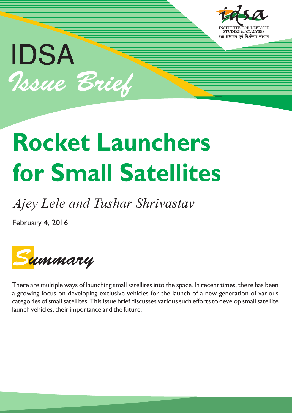

# **Rocket Launchers for Small Satellites**

# *Ajey Lele and Tushar Shrivastav*

February 4, 2016

IDSA

Issue Brief



There are multiple ways of launching small satellites into the space. In recent times, there has been a growing focus on developing exclusive vehicles for the launch of a new generation of various categories of small satellites. This issue brief discusses various such efforts to develop small satellite launch vehicles, their importance and the future.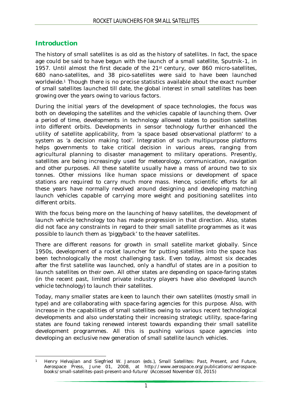### **Introduction**

The history of small satellites is as old as the history of satellites. In fact, the space age could be said to have begun with the launch of a small satellite, Sputnik-1, in 1957. Until almost the first decade of the 21st century, over 860 micro-satellites, 680 nano-satellites, and 38 pico-satellites were said to have been launched worldwide.<sup>1</sup> Though there is no precise statistics available about the exact number of small satellites launched till date, the global interest in small satellites has been growing over the years owing to various factors.

During the initial years of the development of space technologies, the focus was both on developing the satellites and the vehicles capable of launching them. Over a period of time, developments in technology allowed states to position satellites into different orbits. Developments in sensor technology further enhanced the utility of satellite applicability, from 'a space based observational platform' to a system as 'a decision making tool'. Integration of such multipurpose platforms helps governments to take critical decision in various areas, ranging from agricultural planning to disaster management to military operations. Presently, satellites are being increasingly used for meteorology, communication, navigation and other purposes. All these satellite usually have a mass of around two to six tonnes. Other missions like human space missions or development of space stations are required to carry much more mass. Hence, scientific efforts for all these years have normally revolved around designing and developing matching launch vehicles capable of carrying more weight and positioning satellites into different orbits.

With the focus being more on the launching of heavy satellites, the development of launch vehicle technology too has made progression in that direction. Also, states did not face any constraints in regard to their small satellite programmes as it was possible to launch them as 'piggyback' to the heaver satellites.

There are different reasons for growth in small satellite market globally. Since 1950s, development of a rocket launcher for putting satellites into the space has been technologically the most challenging task. Even today, almost six decades after the first satellite was launched, only a handful of states are in a position to launch satellites on their own. All other states are depending on space-faring states (in the recent past, limited private industry players have also developed launch vehicle technology) to launch their satellites.

Today, many smaller states are keen to launch their own satellites (mostly small in type) and are collaborating with space-faring agencies for this purpose. Also, with increase in the capabilities of small satellites owing to various recent technological developments and also understating their increasing strategic utility, space-faring states are found taking renewed interest towards expanding their small satellite development programmes. All this is pushing various space agencies into developing an exclusive new generation of small satellite launch vehicles.

 $\overline{a}$ <sup>1</sup> Henry Helvajian and Siegfried W. Janson (eds.), *Small Satellites: Past, Present, and Future*, Aerospace Press, June 01, 2008, at [http://www.aerospace.org/publications/aerospace](http://www.aerospace.org/publications/aerospace-)books/small-satellites-past-present-and-future/ (Accessed November 03, 2015)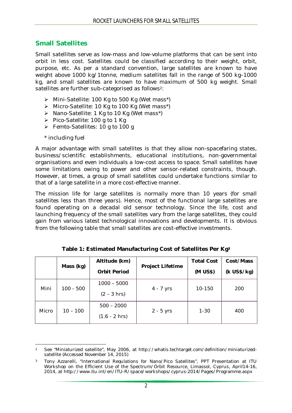### **Small Satellites**

Small satellites serve as low-mass and low-volume platforms that can be sent into orbit in less cost. Satellites could be classified according to their weight, orbit, purpose, etc. As per a standard convention, large satellites are known to have weight above 1000 kg/1tonne, medium satellites fall in the range of 500 kg–1000 kg, and small satellites are known to have maximum of 500 kg weight. Small satellites are further sub-categorised as follows<sup>2</sup>:

- Mini-Satellite: 100 Kg to 500 Kg (Wet mass\*)
- Micro-Satellite: 10 Kg to 100 Kg (Wet mass\*)
- ▶ Nano-Satellite: 1 Kg to 10 Kg (Wet mass\*)
- Pico-Satellite: 100 g to 1 Kg
- Femto-Satellites: 10 g to 100 g
- \* including fuel

A major advantage with small satellites is that they allow non-spacefaring states, business/scientific establishments, educational institutions, non-governmental organisations and even individuals a low-cost access to space. Small satellites have some limitations owing to power and other sensor-related constraints, though. However, at times, a group of small satellites could undertake functions similar to that of a large satellite in a more cost-effective manner.

The mission life for large satellites is normally more than 10 years (for small satellites less than three years). Hence, most of the functional large satellites are found operating on a decadal old sensor technology. Since the life, cost and launching frequency of the small satellites vary from the large satellites, they could gain from various latest technological innovations and developments. It is obvious from the following table that small satellites are cost-effective investments.

|       | Mass (kg)   | Altitude (km)       | <b>Project Lifetime</b> | <b>Total Cost</b> | Cost/Mass   |
|-------|-------------|---------------------|-------------------------|-------------------|-------------|
|       |             | <b>Orbit Period</b> |                         | (M US\$)          | (k US\$/kg) |
| Mini  | $100 - 500$ | $1000 - 5000$       |                         | 10-150            | 200         |
|       |             | $(2 - 3 hrs)$       | $4 - 7$ yrs             |                   |             |
| Micro | $10 - 100$  | $500 - 2000$        |                         |                   |             |
|       |             | $(1.6 - 2 hrs)$     | $2 - 5$ yrs             | $1 - 30$          | 400         |

**Table 1: Estimated Manufacturing Cost of Satellites Per Kg<sup>3</sup>**

 $\overline{a}$ <sup>2</sup> See "Miniaturized satellite", May 2006, at [http://whatis.techtarget.com/definition/miniaturized](http://whatis.techtarget.com/definition/miniaturized-)satellite (Accessed November 14, 2015)

<sup>3</sup> Tony Azzarelli, "International Regulations for Nano/Pico Satellites", PPT Presentation at ITU Workshop on the Efficient Use of the Spectrum/Orbit Resource, Limassol, Cyprus, April14-16, 2014, at <http://www.itu.int/en/ITU-R/space/workshops/cyprus-2014/Pages/Programme.aspx>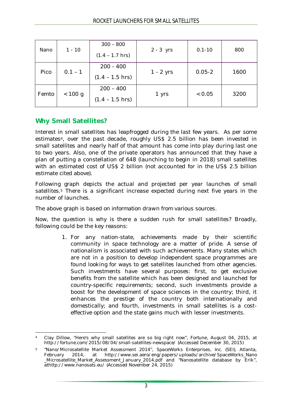| Nano  | $1 - 10$  | $300 - 800$       | $2 - 3$ yrs | $0.1 - 10$ | 800  |
|-------|-----------|-------------------|-------------|------------|------|
|       |           | $(1.4 - 1.7$ hrs) |             |            |      |
| Pico  | $0.1 - 1$ | $200 - 400$       | $1 - 2$ yrs | $0.05 - 2$ | 1600 |
|       |           | $(1.4 - 1.5$ hrs) |             |            |      |
| Femto | < 100 g   | $200 - 400$       | 1 yrs       | < 0.05     | 3200 |
|       |           | $(1.4 - 1.5$ hrs) |             |            |      |

### **Why Small Satellites?**

Interest in small satellites has leapfrogged during the last few years. As per some estimates4, over the past decade, roughly US\$ 2.5 billion has been invested in small satellites and nearly half of that amount has come into play during last one to two years. Also, one of the private operators has announced that they have a plan of putting a constellation of 648 (launching to begin in 2018) small satellites with an estimated cost of US\$ 2 billion (not accounted for in the US\$ 2.5 billion estimate cited above).

Following graph depicts the actual and projected per year launches of small satellites.<sup>5</sup> There is a significant increase expected during next five years in the number of launches.

*The above graph is based on information drawn from various sources.*

Now, the question is why is there a sudden rush for small satellites? Broadly, following could be the key reasons:

> 1. For any nation-state, achievements made by their scientific community in space technology are a matter of pride. A sense of nationalism is associated with such achievements. Many states which are not in a position to develop independent space programmes are found looking for ways to get satellites launched from other agencies. Such investments have several purposes: first, to get exclusive benefits from the satellite which has been designed and launched for country-specific requirements; second, such investments provide a boost for the development of space sciences in the country; third, it enhances the prestige of the country both internationally and domestically; and fourth, investments in small satellites is a costeffective option and the state gains much with lesser investments.

 $\overline{\phantom{a}}$ <sup>4</sup> Clay Dillow, "Here's why small satellites are so big right now", *Fortune*, August 04, 2015, at <http://fortune.com/2015/08/04/small-satellites-newspace/> (Accessed December 30, 2015)

<sup>5</sup> "Nano/Microsatellite Market Assessment 2014", *SpaceWorks Enterprises, Inc. (SEI)*, Atlanta, February 2014, at [http://www.sei.aero/eng/papers/uploads/archive/SpaceWorks\\_Nano](http://www.sei.aero/eng/papers/uploads/archive/SpaceWorks_Nano) \_Microsatellite\_Market\_Assessment\_January\_2014.pdf and "Nanosatellite database by Erik", at<http://www.nanosats.eu/> (Accessed November 24, 2015)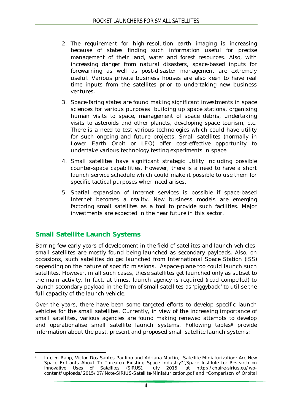- 2. The requirement for high-resolution earth imaging is increasing because of states finding such information useful for precise management of their land, water and forest resources. Also, with increasing danger from natural disasters, space-based inputs for forewarning as well as post-disaster management are extremely useful. Various private business houses are also keen to have real time inputs from the satellites prior to undertaking new business ventures.
- 3. Space-faring states are found making significant investments in space sciences for various purposes: building up space stations, organising human visits to space, management of space debris, undertaking visits to asteroids and other planets, developing space tourism, etc. There is a need to test various technologies which could have utility for such ongoing and future projects. Small satellites (normally in Lower Earth Orbit or LEO) offer cost-effective opportunity to undertake various technology testing experiments in space.
- 4. Small satellites have significant strategic utility including possible counter-space capabilities. However, there is a need to have a short launch service schedule which could make it possible to use them for specific tactical purposes when need arises.
- 5. Spatial expansion of Internet services is possible if space-based Internet becomes a reality. New business models are emerging factoring small satellites as a tool to provide such facilities. Major investments are expected in the near future in this sector.

## **Small Satellite Launch Systems**

Barring few early years of development in the field of satellites and launch vehicles, small satellites are mostly found being launched as secondary payloads. Also, on occasions, such satellites do get launched from International Space Station (ISS) depending on the nature of specific missions. Aspace-plane too could launch such satellites. However, in all such cases, these satellites get launched only as subset to the main activity. In fact, at times, launch agency is required (read compelled) to launch secondary payload in the form of small satellites as 'piggyback' to utilise the full capacity of the launch vehicle.

Over the years, there have been some targeted efforts to develop specific launch vehicles for the small satellites. Currently, in view of the increasing importance of small satellites, various agencies are found making renewed attempts to develop and operationalise small satellite launch systems. Following tables<sup>6</sup> provide information about the past, present and proposed small satellite launch systems:

 $\overline{\phantom{a}}$ <sup>6</sup> Lucien Rapp, Victor Dos Santos Paulino and Adriana Martin, "Satellite Miniaturization: Are New Space Entrants About To Threaten Existing Space Industry?",*Space Institute for Research on Innovative Uses of Satellites (SIRUS)*, July 2015, at [http://chaire-sirius.eu/wp](http://chaire-sirius.eu/wp-)content/uploads/2015/07/Note-SIRIUS-Satellite-Miniaturization.pdf and "Comparison of Orbital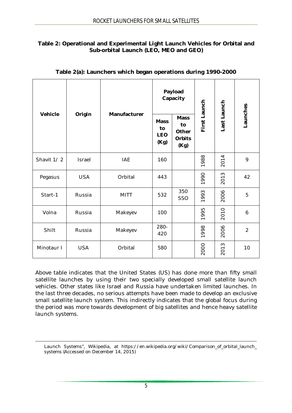#### **Table 2: Operational and Experimental Light Launch Vehicles for Orbital and Sub-orbital Launch (LEO, MEO and GEO)**

|            | Manufacturer |             |             | Payload<br>Capacity                          |              |               |                |  |
|------------|--------------|-------------|-------------|----------------------------------------------|--------------|---------------|----------------|--|
| Vehicle    | Origin       | <b>Mass</b> |             | <b>Mass</b><br>to<br>Other<br>Orbits<br>(Kg) | First Launch | Last Launch   | Launches       |  |
| Shavit 1/2 | Israel       | <b>IAE</b>  | 160         |                                              | 1988         | 2014          | 9              |  |
| Pegasus    | <b>USA</b>   | Orbital     | 443         |                                              | 1990         | 2013          | 42             |  |
| Start-1    | Russia       | <b>MITT</b> | 532         | 350<br>SSO                                   | 1993         | 2006          | 5              |  |
| Volna      | Russia       | Makeyev     | 100         |                                              | 1995         | 2010          | 6              |  |
| Shilt      | Russia       | Makeyev     | 280-<br>420 |                                              | 1998         | 2006          | $\overline{2}$ |  |
| Minotaur I | <b>USA</b>   | Orbital     | 580         |                                              | 2000         | $\sim$<br>201 | 10             |  |

#### **Table 2(a): Launchers which began operations during 1990-2000**

Above table indicates that the United States (US) has done more than fifty small satellite launches by using their two specially developed small satellite launch vehicles. Other states like Israel and Russia have undertaken limited launches. In the last three decades, no serious attempts have been made to develop an exclusive small satellite launch system. This indirectly indicates that the global focus during the period was more towards development of big satellites and hence heavy satellite launch systems.

Launch Systems", Wikipedia, at https://en.wikipedia.org/wiki/Comparison of orbital launch systems (Accessed on December 14, 2015)

 $\overline{a}$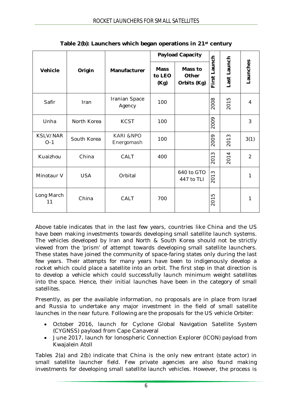|                   |                        |                                    | <b>Payload Capacity</b>       |                                 |                 |             |                |
|-------------------|------------------------|------------------------------------|-------------------------------|---------------------------------|-----------------|-------------|----------------|
| Vehicle           | Origin<br>Manufacturer |                                    | <b>Mass</b><br>to LEO<br>(Kg) | Mass to<br>Other<br>Orbits (Kg) | Launch<br>First | Last Launch | -aunches       |
| Safir             | Iran                   | Iranian Space<br>Agency            | 100                           |                                 | 2008            | 2015        | 4              |
| Unha              | North Korea            | <b>KCST</b>                        | 100                           |                                 | 2009            |             | 3              |
| KSLV/NAR<br>$O-1$ | South Korea            | <b>KARI &amp;NPO</b><br>Energomash | 100                           |                                 | 2009            | 2013        | 3(1)           |
| Kuaizhou          | China                  | CALT                               | 400                           |                                 | S<br>201        | 2014        | $\overline{2}$ |
| Minotaur V        | <b>USA</b>             | Orbital                            |                               | 640 to GTO<br>447 to TLI        | $\infty$<br>201 |             | 1              |
| Long March<br>11  | China                  | CALT                               | 700                           |                                 | Б<br>201        |             |                |

Above table indicates that in the last few years, countries like China and the US have been making investments towards developing small satellite launch systems. The vehicles developed by Iran and North & South Korea should not be strictly viewed from the 'prism' of attempt towards developing small satellite launchers. These states have joined the community of space-faring states only during the last few years. Their attempts for many years have been to indigenously develop a rocket which could place a satellite into an orbit. The first step in that direction is to develop a vehicle which could successfully launch minimum weight satellites into the space. Hence, their initial launches have been in the category of small satellites.

Presently, as per the available information, no proposals are in place from Israel and Russia to undertake any major investment in the field of small satellite launches in the near future. Following are the proposals for the US vehicle *Orbiter*:

- October 2016, launch for Cyclone Global Navigation Satellite System (CYGNSS) payload from Cape Canaveral
- June 2017, launch for Ionospheric Connection Explorer (ICON) payload from Kwajalein Atoll

Tables 2(a) and 2(b) indicate that China is the only new entrant (state actor) in small satellite launcher field. Few private agencies are also found making investments for developing small satellite launch vehicles. However, the process is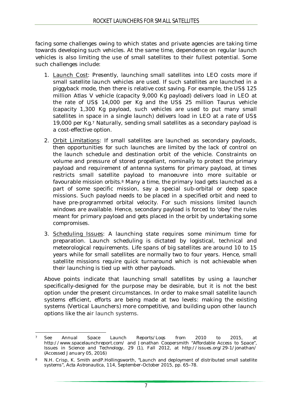facing some challenges owing to which states and private agencies are taking time towards developing such vehicles. At the same time, dependence on regular launch vehicles is also limiting the use of small satellites to their fullest potential. Some such challenges include:

- 1. Launch Cost: Presently, launching small satellites into LEO costs more if small satellite launch vehicles are used. If such satellites are launched in a piggyback mode, then there is relative cost saving. For example, the US\$ 125 million *Atlas V* vehicle (capacity 9,000 Kg payload) delivers load in LEO at the rate of US\$ 14,000 per Kg and the US\$ 25 million *Taurus* vehicle (capacity 1,300 Kg payload, such vehicles are used to put many small satellites in space in a single launch) delivers load in LEO at a rate of US\$ 19,000 per Kg.<sup>7</sup> Naturally, sending small satellites as a secondary payload is a cost-effective option.
- 2. Orbit Limitations: If small satellites are launched as secondary payloads, then opportunities for such launches are limited by the lack of control on the launch schedule and destination orbit of the vehicle. Constraints on volume and pressure of stored propellant, nominally to protect the primary payload and requirement of antenna systems for primary payload, at times restricts small satellite payload to manoeuvre into more suitable or favourable mission orbits.<sup>8</sup> Many a time, the primary load gets launched as a part of some specific mission, say a special sub-orbital or deep space missions. Such payload needs to be placed in a specified orbit and need to have pre-programmed orbital velocity. For such missions limited launch windows are available. Hence, secondary payload is forced to 'obey' the rules meant for primary payload and gets placed in the orbit by undertaking some compromises.
- 3. Scheduling Issues: A launching state requires some minimum time for preparation. Launch scheduling is dictated by logistical, technical and meteorological requirements. Life spans of big satellites are around 10 to 15 years while for small satellites are normally two to four years. Hence, small satellite missions require quick turnaround which is not achievable when their launching is tied up with other payloads.

Above points indicate that launching small satellites by using a launcher specifically-designed for the purpose may be desirable, but it is not the best option under the present circumstances. In order to make small satellite launch systems efficient, efforts are being made at two levels: making the existing systems (Vertical Launchers) more competitive, and building upon other launch options like the air launch systems.

 $\overline{\phantom{a}}$ <sup>7</sup> See Annual Space Launch Reports/Logs from 2010 to 2015, at <http://www.spacelaunchreport.com/> and Jonathan Coopersmith "Affordable Access to Space", *Issues in Science and Technology*, 29 (1), Fall 2012, at <http://issues.org/29-1/jonathan/> (Accessed January 05, 2016)

<sup>8</sup> N.H. Crisp, K. Smith and P. Hollingsworth, "Launch and deployment of distributed small satellite systems", *Acta Astronautica*, 114, September-October 2015, pp. 65–78.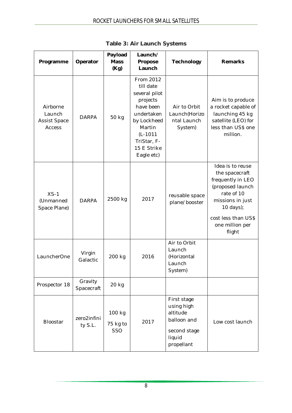| Programme                                           | Operator               | Payload<br><b>Mass</b><br>(Kg) | Launch/<br>Propose<br>Launch                                                                                                                                      | Technology                                                                                   | Remarks                                                                                                                                           |
|-----------------------------------------------------|------------------------|--------------------------------|-------------------------------------------------------------------------------------------------------------------------------------------------------------------|----------------------------------------------------------------------------------------------|---------------------------------------------------------------------------------------------------------------------------------------------------|
| Airborne<br>Launch<br>Assist Space<br><b>Access</b> | <b>DARPA</b>           | 50 kg                          | From 2012<br>till date<br>several pilot<br>projects<br>have been<br>undertaken<br>by Lockheed<br>Martin<br>$(L-1011)$<br>TriStar, F-<br>15 E Strike<br>Eagle etc) | Air to Orbit<br>Launch(Horizo<br>ntal Launch<br>System)                                      | Aim is to produce<br>a rocket capable of<br>launching 45 kg<br>satellite (LEO) for<br>less than US\$ one<br>million.                              |
| $XS-1$<br>(Unmanned<br>Space Plane)                 | <b>DARPA</b>           | 2500 kg                        | 2017                                                                                                                                                              | reusable space<br>plane/booster                                                              | Idea is to reuse<br>the spacecraft<br>frequently in LEO<br>(proposed launch<br>rate of 10<br>missions in just<br>10 days);<br>cost less than US\$ |
|                                                     |                        |                                |                                                                                                                                                                   |                                                                                              | one million per<br>flight                                                                                                                         |
| LauncherOne                                         | Virgin<br>Galactic     | 200 kg                         | 2016                                                                                                                                                              | Air to Orbit<br>Launch<br>(Horizontal<br>Launch<br>System)                                   |                                                                                                                                                   |
| Prospector 18                                       | Gravity<br>Spacecraft  | 20 kg                          |                                                                                                                                                                   |                                                                                              |                                                                                                                                                   |
| <b>Bloostar</b>                                     | zero2infini<br>ty S.L. | 100 kg<br>75 kg to<br>SSO      | 2017                                                                                                                                                              | First stage<br>using high<br>altitude<br>balloon and<br>second stage<br>liquid<br>propellant | Low cost launch                                                                                                                                   |

**Table 3: Air Launch Systems**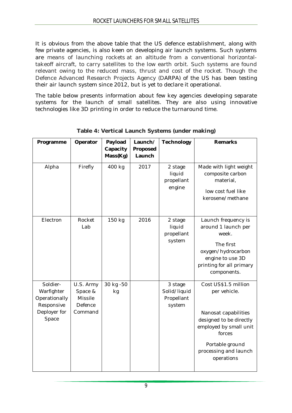It is obvious from the above table that the US defence establishment, along with few private agencies, is also keen on developing air launch systems. Such systems are means of launching rockets at an altitude from a conventional horizontaltakeoff aircraft, to carry satellites to the low earth orbit. Such systems are found relevant owing to the reduced mass, thrust and cost of the rocket. Though the Defence Advanced Research Projects Agency (DARPA) of the US has been testing their air launch system since 2012, but is yet to declare it operational.

The table below presents information about few key agencies developing separate systems for the launch of small satellites. They are also using innovative technologies like 3D printing in order to reduce the turnaround time.

| Programme                                                                      | Operator                                              | Payload<br>Capacity | Launch/<br>Proposed | Technology                                      | <b>Remarks</b>                                                                                                                                                                        |
|--------------------------------------------------------------------------------|-------------------------------------------------------|---------------------|---------------------|-------------------------------------------------|---------------------------------------------------------------------------------------------------------------------------------------------------------------------------------------|
|                                                                                |                                                       | Mass(Kg)            | Launch              |                                                 |                                                                                                                                                                                       |
| Alpha                                                                          | Firefly                                               | 400 kg              | 2017                | 2 stage<br>liquid<br>propellant<br>engine       | Made with light weight<br>composite carbon<br>material,<br>low cost fuel like<br>kerosene/methane                                                                                     |
| Electron                                                                       | Rocket<br>Lab                                         | 150 kg              | 2016                | 2 stage<br>liquid<br>propellant<br>system       | Launch frequency is<br>around 1 launch per<br>week.<br>The first<br>oxygen/hydrocarbon<br>engine to use 3D<br>printing for all primary<br>components.                                 |
| Soldier-<br>Warfighter<br>Operationally<br>Responsive<br>Deployer for<br>Space | U.S. Army<br>Space &<br>Missile<br>Defence<br>Command | 30 kg -50<br>kg     |                     | 3 stage<br>Solid/liquid<br>Propellant<br>system | Cost US\$1.5 million<br>per vehicle.<br>Nanosat capabilities<br>designed to be directly<br>employed by small unit<br>forces<br>Portable ground<br>processing and launch<br>operations |

**Table 4: Vertical Launch Systems (under making)**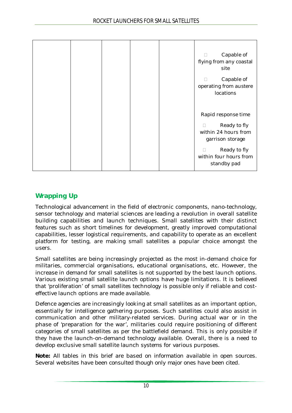|  |  | Capable of<br>П<br>flying from any coastal<br>site<br>Capable of<br>operating from austere<br>locations                                            |
|--|--|----------------------------------------------------------------------------------------------------------------------------------------------------|
|  |  | Rapid response time<br>Ready to fly<br>П<br>within 24 hours from<br>garrison storage<br>Ready to fly<br>□<br>within four hours from<br>standby pad |

# **Wrapping Up**

Technological advancement in the field of electronic components, nano-technology, sensor technology and material sciences are leading a revolution in overall satellite building capabilities and launch techniques. Small satellites with their distinct features such as short timelines for development, greatly improved computational capabilities, lesser logistical requirements, and capability to operate as an excellent platform for testing, are making small satellites a popular choice amongst the users.

Small satellites are being increasingly projected as the most in-demand choice for militaries, commercial organisations, educational organisations, etc. However, the increase in demand for small satellites is not supported by the best launch options. Various existing small satellite launch options have huge limitations. It is believed that 'proliferation' of small satellites technology is possible only if reliable and costeffective launch options are made available.

Defence agencies are increasingly looking at small satellites as an important option, essentially for intelligence gathering purposes. Such satellites could also assist in communication and other military-related services. During actual war or in the phase of 'preparation for the war', militaries could require positioning of different categories of small satellites as per the battlefield demand. This is only possible if they have the launch-on-demand technology available. Overall, there is a need to develop exclusive small satellite launch systems for various purposes.

**Note:** *All tables in this brief are based on information available in open sources. Several websites have been consulted though only major ones have been cited.*